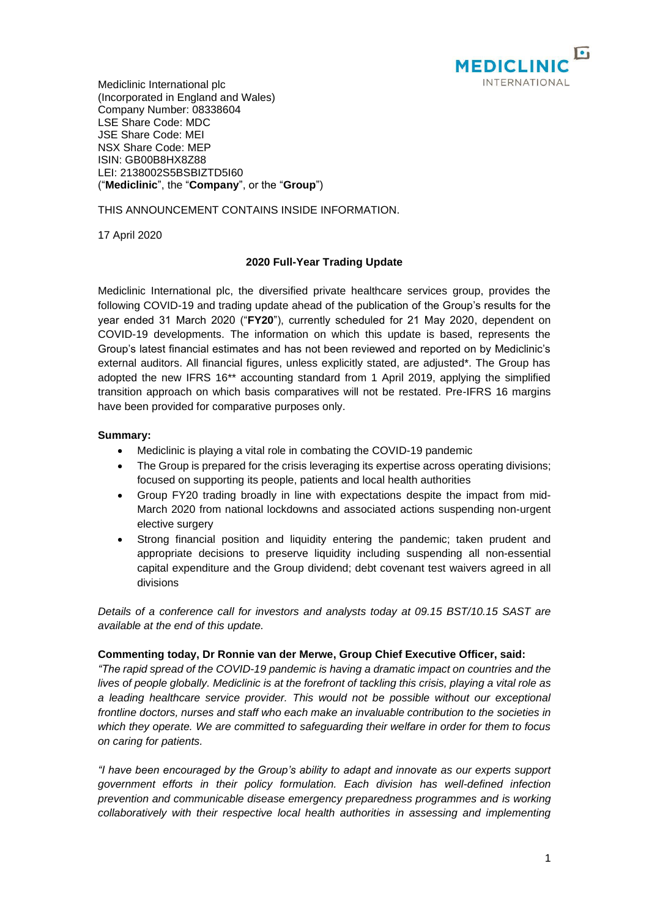

Mediclinic International plc (Incorporated in England and Wales) Company Number: 08338604 LSE Share Code: MDC JSE Share Code: MEI NSX Share Code: MEP ISIN: GB00B8HX8Z88 LEI: 2138002S5BSBIZTD5I60 ("**Mediclinic**", the "**Company**", or the "**Group**")

THIS ANNOUNCEMENT CONTAINS INSIDE INFORMATION.

17 April 2020

# **2020 Full-Year Trading Update**

Mediclinic International plc, the diversified private healthcare services group, provides the following COVID-19 and trading update ahead of the publication of the Group's results for the year ended 31 March 2020 ("**FY20**"), currently scheduled for 21 May 2020, dependent on COVID-19 developments. The information on which this update is based, represents the Group's latest financial estimates and has not been reviewed and reported on by Mediclinic's external auditors. All financial figures, unless explicitly stated, are adjusted\*. The Group has adopted the new IFRS 16\*\* accounting standard from 1 April 2019, applying the simplified transition approach on which basis comparatives will not be restated. Pre-IFRS 16 margins have been provided for comparative purposes only.

### **Summary:**

- Mediclinic is playing a vital role in combating the COVID-19 pandemic
- The Group is prepared for the crisis leveraging its expertise across operating divisions; focused on supporting its people, patients and local health authorities
- Group FY20 trading broadly in line with expectations despite the impact from mid-March 2020 from national lockdowns and associated actions suspending non-urgent elective surgery
- Strong financial position and liquidity entering the pandemic; taken prudent and appropriate decisions to preserve liquidity including suspending all non-essential capital expenditure and the Group dividend; debt covenant test waivers agreed in all divisions

*Details of a conference call for investors and analysts today at 09.15 BST/10.15 SAST are available at the end of this update.*

### **Commenting today, Dr Ronnie van der Merwe, Group Chief Executive Officer, said:**

*"The rapid spread of the COVID-19 pandemic is having a dramatic impact on countries and the lives of people globally. Mediclinic is at the forefront of tackling this crisis, playing a vital role as a leading healthcare service provider. This would not be possible without our exceptional frontline doctors, nurses and staff who each make an invaluable contribution to the societies in which they operate. We are committed to safeguarding their welfare in order for them to focus on caring for patients.* 

*"I have been encouraged by the Group's ability to adapt and innovate as our experts support government efforts in their policy formulation. Each division has well-defined infection prevention and communicable disease emergency preparedness programmes and is working collaboratively with their respective local health authorities in assessing and implementing*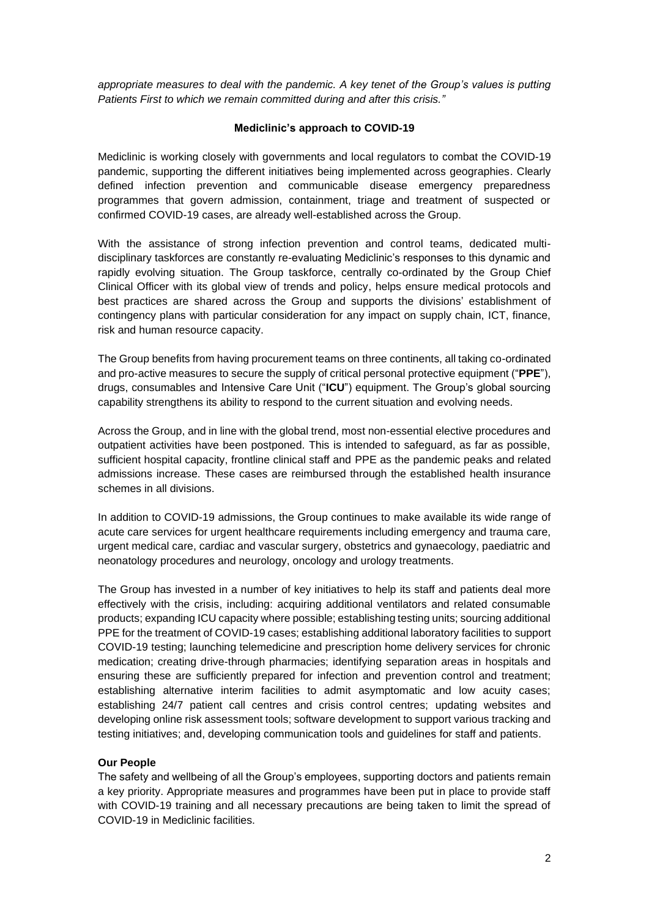*appropriate measures to deal with the pandemic. A key tenet of the Group's values is putting Patients First to which we remain committed during and after this crisis."*

### **Mediclinic's approach to COVID-19**

Mediclinic is working closely with governments and local regulators to combat the COVID-19 pandemic, supporting the different initiatives being implemented across geographies. Clearly defined infection prevention and communicable disease emergency preparedness programmes that govern admission, containment, triage and treatment of suspected or confirmed COVID-19 cases, are already well-established across the Group.

With the assistance of strong infection prevention and control teams, dedicated multidisciplinary taskforces are constantly re-evaluating Mediclinic's responses to this dynamic and rapidly evolving situation. The Group taskforce, centrally co-ordinated by the Group Chief Clinical Officer with its global view of trends and policy, helps ensure medical protocols and best practices are shared across the Group and supports the divisions' establishment of contingency plans with particular consideration for any impact on supply chain, ICT, finance, risk and human resource capacity.

The Group benefits from having procurement teams on three continents, all taking co-ordinated and pro-active measures to secure the supply of critical personal protective equipment ("**PPE**"), drugs, consumables and Intensive Care Unit ("**ICU**") equipment. The Group's global sourcing capability strengthens its ability to respond to the current situation and evolving needs.

Across the Group, and in line with the global trend, most non-essential elective procedures and outpatient activities have been postponed. This is intended to safeguard, as far as possible, sufficient hospital capacity, frontline clinical staff and PPE as the pandemic peaks and related admissions increase. These cases are reimbursed through the established health insurance schemes in all divisions.

In addition to COVID-19 admissions, the Group continues to make available its wide range of acute care services for urgent healthcare requirements including emergency and trauma care, urgent medical care, cardiac and vascular surgery, obstetrics and gynaecology, paediatric and neonatology procedures and neurology, oncology and urology treatments.

The Group has invested in a number of key initiatives to help its staff and patients deal more effectively with the crisis, including: acquiring additional ventilators and related consumable products; expanding ICU capacity where possible; establishing testing units; sourcing additional PPE for the treatment of COVID-19 cases; establishing additional laboratory facilities to support COVID-19 testing; launching telemedicine and prescription home delivery services for chronic medication; creating drive-through pharmacies; identifying separation areas in hospitals and ensuring these are sufficiently prepared for infection and prevention control and treatment; establishing alternative interim facilities to admit asymptomatic and low acuity cases; establishing 24/7 patient call centres and crisis control centres; updating websites and developing online risk assessment tools; software development to support various tracking and testing initiatives; and, developing communication tools and guidelines for staff and patients.

### **Our People**

The safety and wellbeing of all the Group's employees, supporting doctors and patients remain a key priority. Appropriate measures and programmes have been put in place to provide staff with COVID-19 training and all necessary precautions are being taken to limit the spread of COVID-19 in Mediclinic facilities.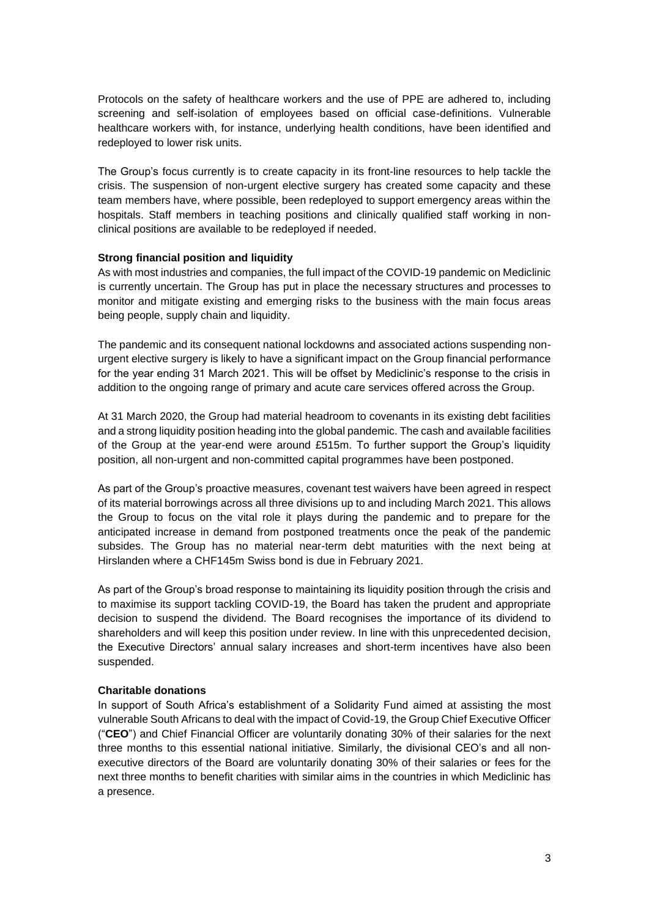Protocols on the safety of healthcare workers and the use of PPE are adhered to, including screening and self-isolation of employees based on official case-definitions. Vulnerable healthcare workers with, for instance, underlying health conditions, have been identified and redeployed to lower risk units.

The Group's focus currently is to create capacity in its front-line resources to help tackle the crisis. The suspension of non-urgent elective surgery has created some capacity and these team members have, where possible, been redeployed to support emergency areas within the hospitals. Staff members in teaching positions and clinically qualified staff working in nonclinical positions are available to be redeployed if needed.

### **Strong financial position and liquidity**

As with most industries and companies, the full impact of the COVID-19 pandemic on Mediclinic is currently uncertain. The Group has put in place the necessary structures and processes to monitor and mitigate existing and emerging risks to the business with the main focus areas being people, supply chain and liquidity.

The pandemic and its consequent national lockdowns and associated actions suspending nonurgent elective surgery is likely to have a significant impact on the Group financial performance for the year ending 31 March 2021. This will be offset by Mediclinic's response to the crisis in addition to the ongoing range of primary and acute care services offered across the Group.

At 31 March 2020, the Group had material headroom to covenants in its existing debt facilities and a strong liquidity position heading into the global pandemic. The cash and available facilities of the Group at the year-end were around £515m. To further support the Group's liquidity position, all non-urgent and non-committed capital programmes have been postponed.

As part of the Group's proactive measures, covenant test waivers have been agreed in respect of its material borrowings across all three divisions up to and including March 2021. This allows the Group to focus on the vital role it plays during the pandemic and to prepare for the anticipated increase in demand from postponed treatments once the peak of the pandemic subsides. The Group has no material near-term debt maturities with the next being at Hirslanden where a CHF145m Swiss bond is due in February 2021.

As part of the Group's broad response to maintaining its liquidity position through the crisis and to maximise its support tackling COVID-19, the Board has taken the prudent and appropriate decision to suspend the dividend. The Board recognises the importance of its dividend to shareholders and will keep this position under review. In line with this unprecedented decision, the Executive Directors' annual salary increases and short-term incentives have also been suspended.

## **Charitable donations**

In support of South Africa's establishment of a Solidarity Fund aimed at assisting the most vulnerable South Africans to deal with the impact of Covid-19, the Group Chief Executive Officer ("**CEO**") and Chief Financial Officer are voluntarily donating 30% of their salaries for the next three months to this essential national initiative. Similarly, the divisional CEO's and all nonexecutive directors of the Board are voluntarily donating 30% of their salaries or fees for the next three months to benefit charities with similar aims in the countries in which Mediclinic has a presence.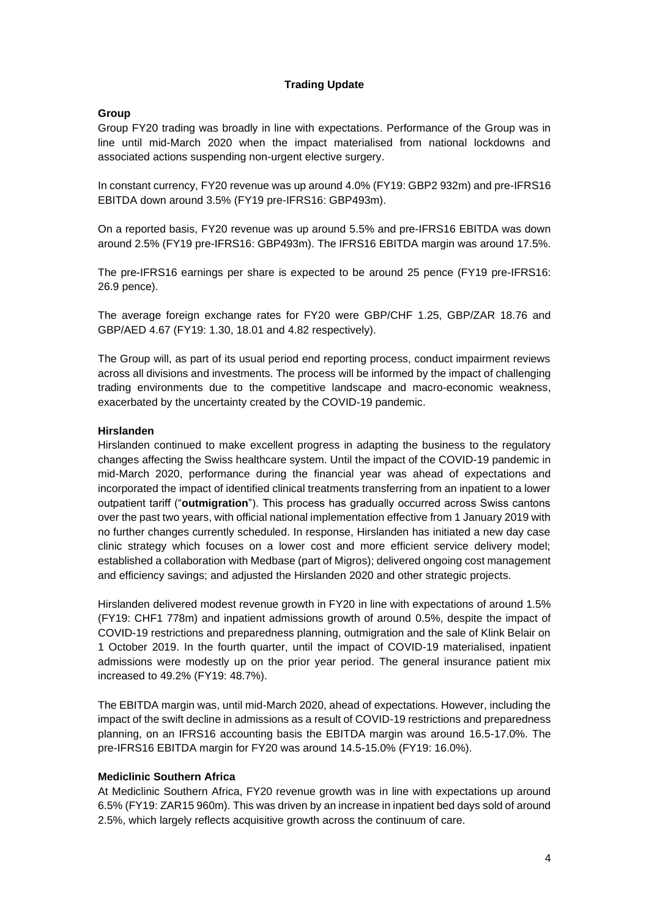# **Trading Update**

# **Group**

Group FY20 trading was broadly in line with expectations. Performance of the Group was in line until mid-March 2020 when the impact materialised from national lockdowns and associated actions suspending non-urgent elective surgery.

In constant currency, FY20 revenue was up around 4.0% (FY19: GBP2 932m) and pre-IFRS16 EBITDA down around 3.5% (FY19 pre-IFRS16: GBP493m).

On a reported basis, FY20 revenue was up around 5.5% and pre-IFRS16 EBITDA was down around 2.5% (FY19 pre-IFRS16: GBP493m). The IFRS16 EBITDA margin was around 17.5%.

The pre-IFRS16 earnings per share is expected to be around 25 pence (FY19 pre-IFRS16: 26.9 pence).

The average foreign exchange rates for FY20 were GBP/CHF 1.25, GBP/ZAR 18.76 and GBP/AED 4.67 (FY19: 1.30, 18.01 and 4.82 respectively).

The Group will, as part of its usual period end reporting process, conduct impairment reviews across all divisions and investments. The process will be informed by the impact of challenging trading environments due to the competitive landscape and macro-economic weakness, exacerbated by the uncertainty created by the COVID-19 pandemic.

# **Hirslanden**

Hirslanden continued to make excellent progress in adapting the business to the regulatory changes affecting the Swiss healthcare system. Until the impact of the COVID-19 pandemic in mid-March 2020, performance during the financial year was ahead of expectations and incorporated the impact of identified clinical treatments transferring from an inpatient to a lower outpatient tariff ("**outmigration**"). This process has gradually occurred across Swiss cantons over the past two years, with official national implementation effective from 1 January 2019 with no further changes currently scheduled. In response, Hirslanden has initiated a new day case clinic strategy which focuses on a lower cost and more efficient service delivery model; established a collaboration with Medbase (part of Migros); delivered ongoing cost management and efficiency savings; and adjusted the Hirslanden 2020 and other strategic projects.

Hirslanden delivered modest revenue growth in FY20 in line with expectations of around 1.5% (FY19: CHF1 778m) and inpatient admissions growth of around 0.5%, despite the impact of COVID-19 restrictions and preparedness planning, outmigration and the sale of Klink Belair on 1 October 2019. In the fourth quarter, until the impact of COVID-19 materialised, inpatient admissions were modestly up on the prior year period. The general insurance patient mix increased to 49.2% (FY19: 48.7%).

The EBITDA margin was, until mid-March 2020, ahead of expectations. However, including the impact of the swift decline in admissions as a result of COVID-19 restrictions and preparedness planning, on an IFRS16 accounting basis the EBITDA margin was around 16.5-17.0%. The pre-IFRS16 EBITDA margin for FY20 was around 14.5-15.0% (FY19: 16.0%).

### **Mediclinic Southern Africa**

At Mediclinic Southern Africa, FY20 revenue growth was in line with expectations up around 6.5% (FY19: ZAR15 960m). This was driven by an increase in inpatient bed days sold of around 2.5%, which largely reflects acquisitive growth across the continuum of care.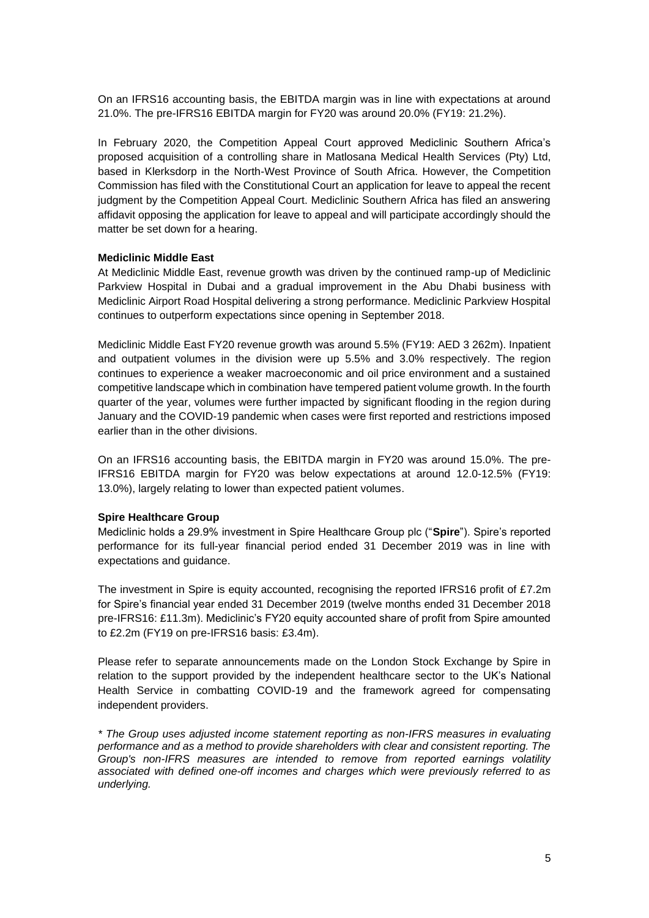On an IFRS16 accounting basis, the EBITDA margin was in line with expectations at around 21.0%. The pre-IFRS16 EBITDA margin for FY20 was around 20.0% (FY19: 21.2%).

In February 2020, the Competition Appeal Court approved Mediclinic Southern Africa's proposed acquisition of a controlling share in Matlosana Medical Health Services (Pty) Ltd, based in Klerksdorp in the North-West Province of South Africa. However, the Competition Commission has filed with the Constitutional Court an application for leave to appeal the recent judgment by the Competition Appeal Court. Mediclinic Southern Africa has filed an answering affidavit opposing the application for leave to appeal and will participate accordingly should the matter be set down for a hearing.

## **Mediclinic Middle East**

At Mediclinic Middle East, revenue growth was driven by the continued ramp-up of Mediclinic Parkview Hospital in Dubai and a gradual improvement in the Abu Dhabi business with Mediclinic Airport Road Hospital delivering a strong performance. Mediclinic Parkview Hospital continues to outperform expectations since opening in September 2018.

Mediclinic Middle East FY20 revenue growth was around 5.5% (FY19: AED 3 262m). Inpatient and outpatient volumes in the division were up 5.5% and 3.0% respectively. The region continues to experience a weaker macroeconomic and oil price environment and a sustained competitive landscape which in combination have tempered patient volume growth. In the fourth quarter of the year, volumes were further impacted by significant flooding in the region during January and the COVID-19 pandemic when cases were first reported and restrictions imposed earlier than in the other divisions.

On an IFRS16 accounting basis, the EBITDA margin in FY20 was around 15.0%. The pre-IFRS16 EBITDA margin for FY20 was below expectations at around 12.0-12.5% (FY19: 13.0%), largely relating to lower than expected patient volumes.

### **Spire Healthcare Group**

Mediclinic holds a 29.9% investment in Spire Healthcare Group plc ("**Spire**"). Spire's reported performance for its full-year financial period ended 31 December 2019 was in line with expectations and guidance.

The investment in Spire is equity accounted, recognising the reported IFRS16 profit of £7.2m for Spire's financial year ended 31 December 2019 (twelve months ended 31 December 2018 pre-IFRS16: £11.3m). Mediclinic's FY20 equity accounted share of profit from Spire amounted to £2.2m (FY19 on pre-IFRS16 basis: £3.4m).

Please refer to separate announcements made on the London Stock Exchange by Spire in relation to the support provided by the independent healthcare sector to the UK's National Health Service in combatting COVID-19 and the framework agreed for compensating independent providers.

*\* The Group uses adjusted income statement reporting as non-IFRS measures in evaluating performance and as a method to provide shareholders with clear and consistent reporting. The Group's non-IFRS measures are intended to remove from reported earnings volatility associated with defined one-off incomes and charges which were previously referred to as underlying.*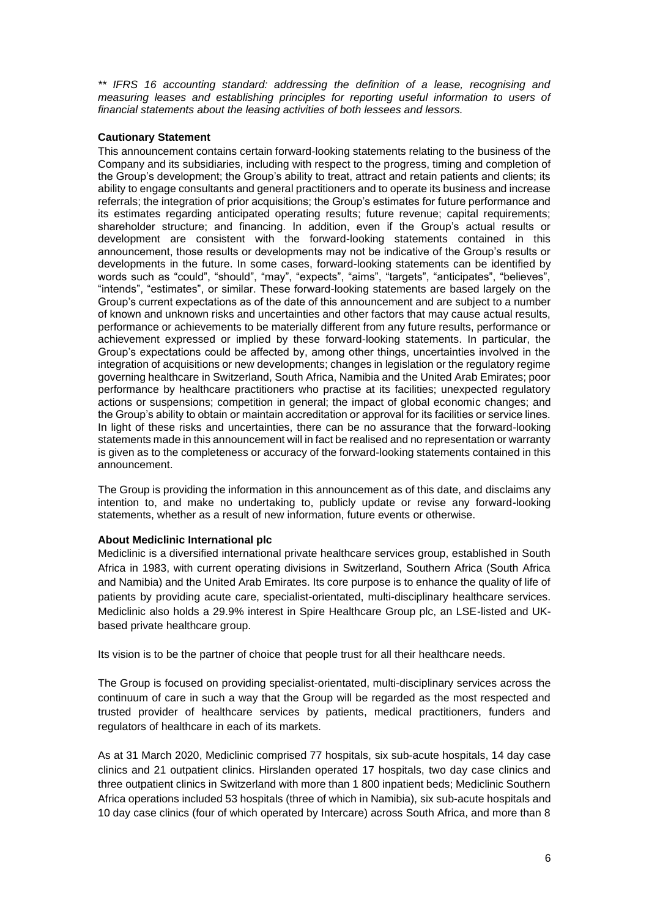*\*\* IFRS 16 accounting standard: addressing the definition of a lease, recognising and measuring leases and establishing principles for reporting useful information to users of financial statements about the leasing activities of both lessees and lessors.*

## **Cautionary Statement**

This announcement contains certain forward-looking statements relating to the business of the Company and its subsidiaries, including with respect to the progress, timing and completion of the Group's development; the Group's ability to treat, attract and retain patients and clients; its ability to engage consultants and general practitioners and to operate its business and increase referrals; the integration of prior acquisitions; the Group's estimates for future performance and its estimates regarding anticipated operating results; future revenue; capital requirements; shareholder structure; and financing. In addition, even if the Group's actual results or development are consistent with the forward-looking statements contained in this announcement, those results or developments may not be indicative of the Group's results or developments in the future. In some cases, forward-looking statements can be identified by words such as "could", "should", "may", "expects", "aims", "targets", "anticipates", "believes", "intends", "estimates", or similar. These forward-looking statements are based largely on the Group's current expectations as of the date of this announcement and are subject to a number of known and unknown risks and uncertainties and other factors that may cause actual results, performance or achievements to be materially different from any future results, performance or achievement expressed or implied by these forward-looking statements. In particular, the Group's expectations could be affected by, among other things, uncertainties involved in the integration of acquisitions or new developments; changes in legislation or the regulatory regime governing healthcare in Switzerland, South Africa, Namibia and the United Arab Emirates; poor performance by healthcare practitioners who practise at its facilities; unexpected regulatory actions or suspensions; competition in general; the impact of global economic changes; and the Group's ability to obtain or maintain accreditation or approval for its facilities or service lines. In light of these risks and uncertainties, there can be no assurance that the forward-looking statements made in this announcement will in fact be realised and no representation or warranty is given as to the completeness or accuracy of the forward-looking statements contained in this announcement.

The Group is providing the information in this announcement as of this date, and disclaims any intention to, and make no undertaking to, publicly update or revise any forward-looking statements, whether as a result of new information, future events or otherwise.

### **About Mediclinic International plc**

Mediclinic is a diversified international private healthcare services group, established in South Africa in 1983, with current operating divisions in Switzerland, Southern Africa (South Africa and Namibia) and the United Arab Emirates. Its core purpose is to enhance the quality of life of patients by providing acute care, specialist-orientated, multi-disciplinary healthcare services. Mediclinic also holds a 29.9% interest in Spire Healthcare Group plc, an LSE-listed and UKbased private healthcare group.

Its vision is to be the partner of choice that people trust for all their healthcare needs.

The Group is focused on providing specialist-orientated, multi-disciplinary services across the continuum of care in such a way that the Group will be regarded as the most respected and trusted provider of healthcare services by patients, medical practitioners, funders and regulators of healthcare in each of its markets.

As at 31 March 2020, Mediclinic comprised 77 hospitals, six sub-acute hospitals, 14 day case clinics and 21 outpatient clinics. Hirslanden operated 17 hospitals, two day case clinics and three outpatient clinics in Switzerland with more than 1 800 inpatient beds; Mediclinic Southern Africa operations included 53 hospitals (three of which in Namibia), six sub-acute hospitals and 10 day case clinics (four of which operated by Intercare) across South Africa, and more than 8